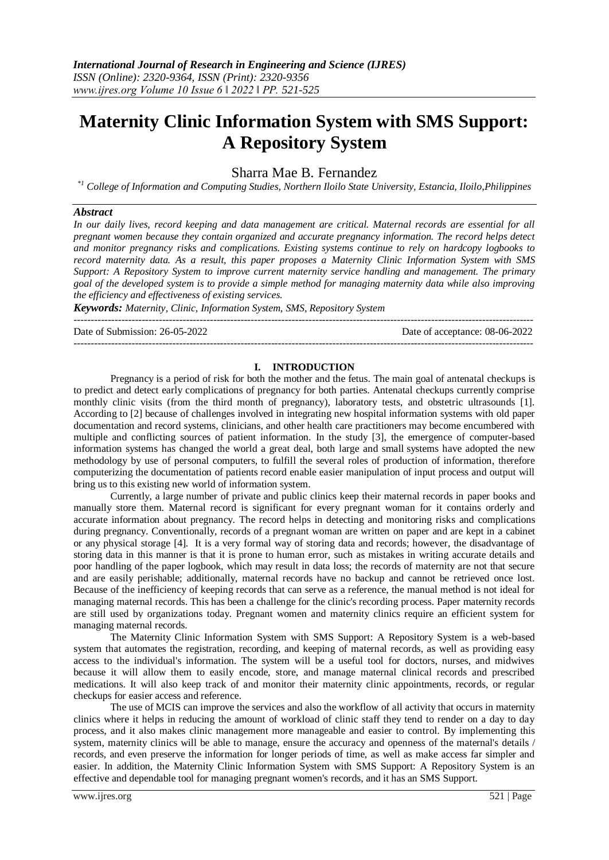# **Maternity Clinic Information System with SMS Support: A Repository System**

# Sharra Mae B. Fernandez

*\*1 College of Information and Computing Studies, Northern Iloilo State University, Estancia, Iloilo,Philippines*

## *Abstract*

*In our daily lives, record keeping and data management are critical. Maternal records are essential for all pregnant women because they contain organized and accurate pregnancy information. The record helps detect and monitor pregnancy risks and complications. Existing systems continue to rely on hardcopy logbooks to record maternity data. As a result, this paper proposes a Maternity Clinic Information System with SMS Support: A Repository System to improve current maternity service handling and management. The primary goal of the developed system is to provide a simple method for managing maternity data while also improving the efficiency and effectiveness of existing services.*

*Keywords: Maternity, Clinic, Information System, SMS, Repository System* ---------------------------------------------------------------------------------------------------------------------------------------

Date of Submission: 26-05-2022 Date of acceptance: 08-06-2022

#### **I. INTRODUCTION**

---------------------------------------------------------------------------------------------------------------------------------------

Pregnancy is a period of risk for both the mother and the fetus. The main goal of antenatal checkups is to predict and detect early complications of pregnancy for both parties. Antenatal checkups currently comprise monthly clinic visits (from the third month of pregnancy), laboratory tests, and obstetric ultrasounds [1]. According to [2] because of challenges involved in integrating new hospital information systems with old paper documentation and record systems, clinicians, and other health care practitioners may become encumbered with multiple and conflicting sources of patient information. In the study [3], the emergence of computer-based information systems has changed the world a great deal, both large and small systems have adopted the new methodology by use of personal computers, to fulfill the several roles of production of information, therefore computerizing the documentation of patients record enable easier manipulation of input process and output will bring us to this existing new world of information system.

Currently, a large number of private and public clinics keep their maternal records in paper books and manually store them. Maternal record is significant for every pregnant woman for it contains orderly and accurate information about pregnancy. The record helps in detecting and monitoring risks and complications during pregnancy. Conventionally, records of a pregnant woman are written on paper and are kept in a cabinet or any physical storage [4]. It is a very formal way of storing data and records; however, the disadvantage of storing data in this manner is that it is prone to human error, such as mistakes in writing accurate details and poor handling of the paper logbook, which may result in data loss; the records of maternity are not that secure and are easily perishable; additionally, maternal records have no backup and cannot be retrieved once lost. Because of the inefficiency of keeping records that can serve as a reference, the manual method is not ideal for managing maternal records. This has been a challenge for the clinic's recording process. Paper maternity records are still used by organizations today. Pregnant women and maternity clinics require an efficient system for managing maternal records.

The Maternity Clinic Information System with SMS Support: A Repository System is a web-based system that automates the registration, recording, and keeping of maternal records, as well as providing easy access to the individual's information. The system will be a useful tool for doctors, nurses, and midwives because it will allow them to easily encode, store, and manage maternal clinical records and prescribed medications. It will also keep track of and monitor their maternity clinic appointments, records, or regular checkups for easier access and reference.

The use of MCIS can improve the services and also the workflow of all activity that occurs in maternity clinics where it helps in reducing the amount of workload of clinic staff they tend to render on a day to day process, and it also makes clinic management more manageable and easier to control. By implementing this system, maternity clinics will be able to manage, ensure the accuracy and openness of the maternal's details / records, and even preserve the information for longer periods of time, as well as make access far simpler and easier. In addition, the Maternity Clinic Information System with SMS Support: A Repository System is an effective and dependable tool for managing pregnant women's records, and it has an SMS Support.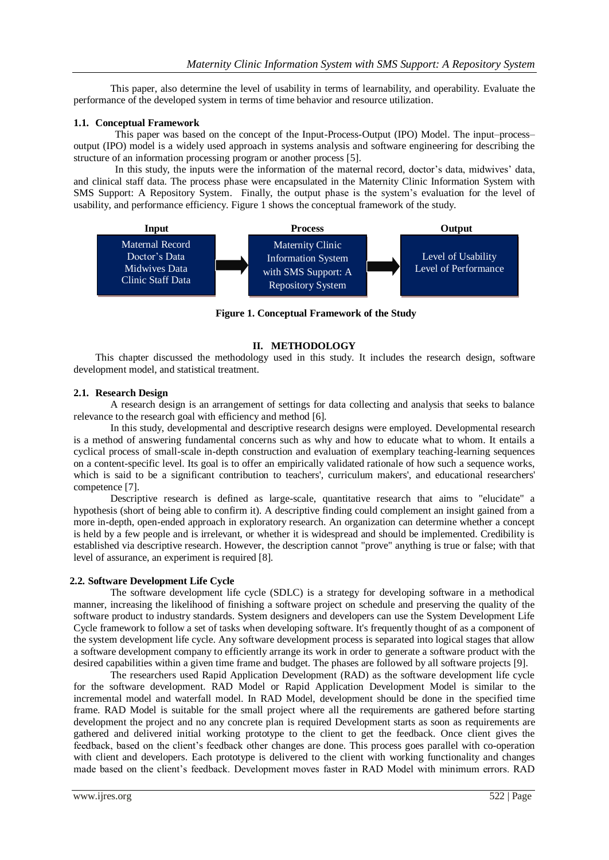This paper, also determine the level of usability in terms of learnability, and operability. Evaluate the performance of the developed system in terms of time behavior and resource utilization.

## **1.1. Conceptual Framework**

This paper was based on the concept of the Input-Process-Output (IPO) Model. The input–process– output (IPO) model is a widely used approach in systems analysis and software engineering for describing the structure of an information processing program or another process [5].

In this study, the inputs were the information of the maternal record, doctor's data, midwives' data, and clinical staff data. The process phase were encapsulated in the Maternity Clinic Information System with SMS Support: A Repository System. Finally, the output phase is the system's evaluation for the level of usability, and performance efficiency. Figure 1 shows the conceptual framework of the study.



**Figure 1. Conceptual Framework of the Study**

## **II. METHODOLOGY**

This chapter discussed the methodology used in this study. It includes the research design, software development model, and statistical treatment.

## **2.1. Research Design**

A research design is an arrangement of settings for data collecting and analysis that seeks to balance relevance to the research goal with efficiency and method [6].

In this study, developmental and descriptive research designs were employed. Developmental research is a method of answering fundamental concerns such as why and how to educate what to whom. It entails a cyclical process of small-scale in-depth construction and evaluation of exemplary teaching-learning sequences on a content-specific level. Its goal is to offer an empirically validated rationale of how such a sequence works, which is said to be a significant contribution to teachers', curriculum makers', and educational researchers' competence [7].

Descriptive research is defined as large-scale, quantitative research that aims to "elucidate" a hypothesis (short of being able to confirm it). A descriptive finding could complement an insight gained from a more in-depth, open-ended approach in exploratory research. An organization can determine whether a concept is held by a few people and is irrelevant, or whether it is widespread and should be implemented. Credibility is established via descriptive research. However, the description cannot "prove" anything is true or false; with that level of assurance, an experiment is required [8].

### **2.2. Software Development Life Cycle**

The software development life cycle (SDLC) is a strategy for developing software in a methodical manner, increasing the likelihood of finishing a software project on schedule and preserving the quality of the software product to industry standards. System designers and developers can use the System Development Life Cycle framework to follow a set of tasks when developing software. It's frequently thought of as a component of the system development life cycle. Any software development process is separated into logical stages that allow a software development company to efficiently arrange its work in order to generate a software product with the desired capabilities within a given time frame and budget. The phases are followed by all software projects [9].

The researchers used Rapid Application Development (RAD) as the software development life cycle for the software development. RAD Model or Rapid Application Development Model is similar to the incremental model and waterfall model. In RAD Model, development should be done in the specified time frame. RAD Model is suitable for the small project where all the requirements are gathered before starting development the project and no any concrete plan is required Development starts as soon as requirements are gathered and delivered initial working prototype to the client to get the feedback. Once client gives the feedback, based on the client's feedback other changes are done. This process goes parallel with co-operation with client and developers. Each prototype is delivered to the client with working functionality and changes made based on the client's feedback. Development moves faster in RAD Model with minimum errors. RAD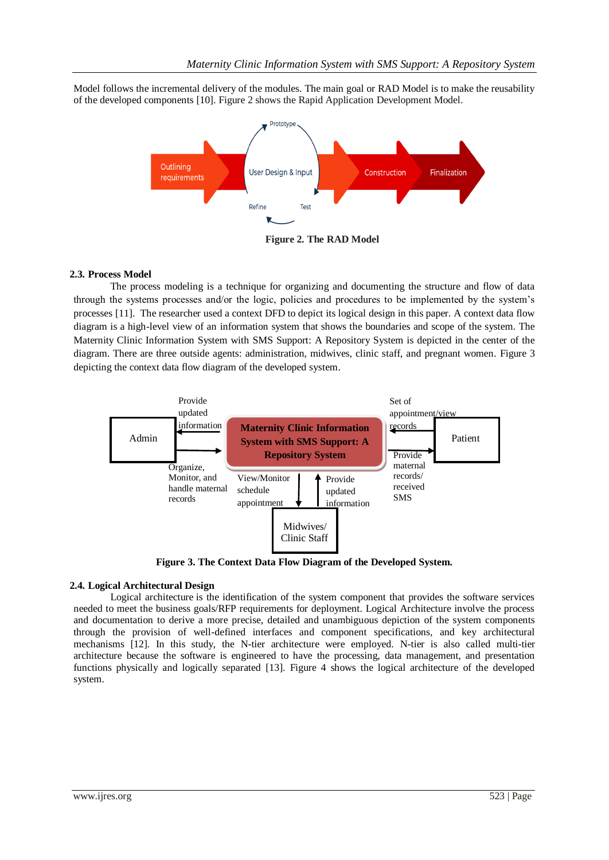Model follows the incremental delivery of the modules. The main goal or RAD Model is to make the reusability of the developed components [10]. Figure 2 shows the Rapid Application Development Model.



 **Figure 2. The RAD Model**

## **2.3. Process Model**

The process modeling is a technique for organizing and documenting the structure and flow of data through the systems processes and/or the logic, policies and procedures to be implemented by the system's processes [11]. The researcher used a context DFD to depict its logical design in this paper. A context data flow diagram is a high-level view of an information system that shows the boundaries and scope of the system. The Maternity Clinic Information System with SMS Support: A Repository System is depicted in the center of the diagram. There are three outside agents: administration, midwives, clinic staff, and pregnant women. Figure 3 depicting the context data flow diagram of the developed system.



**Figure 3. The Context Data Flow Diagram of the Developed System.**

# **2.4. Logical Architectural Design**

[Logical architecture](https://www.lawinsider.com/dictionary/logical-architecture) is the identification of the system component that provides the software services needed to meet the business goals/RFP requirements for deployment. Logical Architecture involve the process and documentation to derive a more precise, detailed and unambiguous depiction of the system components through the provision of well-defined interfaces and component specifications, and key architectural mechanisms [12]. In this study, the N-tier architecture were employed. N-tier is also called multi-tier architecture because the software is engineered to have the processing, data management, and presentation functions physically and logically separated [13]. Figure 4 shows the logical architecture of the developed system.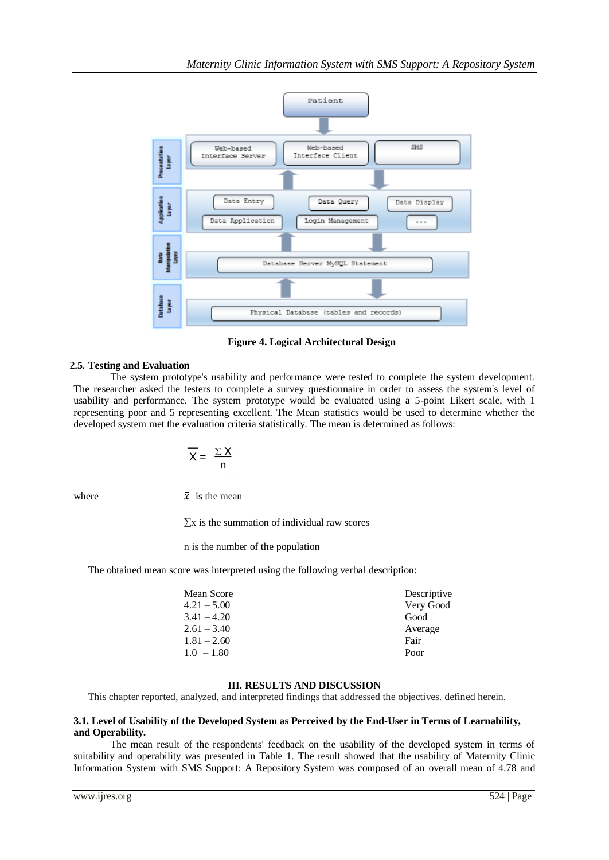

**Figure 4. Logical Architectural Design** 

## **2.5. Testing and Evaluation**

The system prototype's usability and performance were tested to complete the system development. The researcher asked the testers to complete a survey questionnaire in order to assess the system's level of usability and performance. The system prototype would be evaluated using a 5-point Likert scale, with 1 representing poor and 5 representing excellent. The Mean statistics would be used to determine whether the developed system met the evaluation criteria statistically. The mean is determined as follows:

$$
\overline{X} = \frac{\sum X}{n}
$$

where  $\overline{x}$  is the mean

 $\Sigma$ x is the summation of individual raw scores

n is the number of the population

The obtained mean score was interpreted using the following verbal description:

| Mean Score    | Descriptive |
|---------------|-------------|
| $4.21 - 5.00$ | Very Good   |
| $3.41 - 4.20$ | Good        |
| $2.61 - 3.40$ | Average     |
| $1.81 - 2.60$ | Fair        |
| $1.0 - 1.80$  | Poor        |
|               |             |

## **III. RESULTS AND DISCUSSION**

This chapter reported, analyzed, and interpreted findings that addressed the objectives. defined herein.

## **3.1. Level of Usability of the Developed System as Perceived by the End-User in Terms of Learnability, and Operability.**

The mean result of the respondents' feedback on the usability of the developed system in terms of suitability and operability was presented in Table 1. The result showed that the usability of Maternity Clinic Information System with SMS Support: A Repository System was composed of an overall mean of 4.78 and